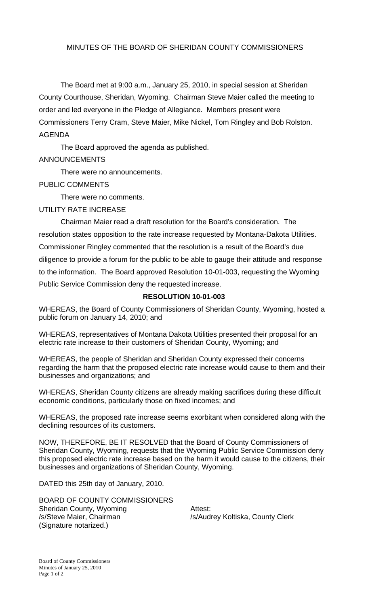## MINUTES OF THE BOARD OF SHERIDAN COUNTY COMMISSIONERS

 The Board met at 9:00 a.m., January 25, 2010, in special session at Sheridan County Courthouse, Sheridan, Wyoming. Chairman Steve Maier called the meeting to order and led everyone in the Pledge of Allegiance. Members present were Commissioners Terry Cram, Steve Maier, Mike Nickel, Tom Ringley and Bob Rolston. AGENDA

 The Board approved the agenda as published. ANNOUNCEMENTS

There were no announcements.

## PUBLIC COMMENTS

There were no comments.

UTILITY RATE INCREASE

 Chairman Maier read a draft resolution for the Board's consideration. The resolution states opposition to the rate increase requested by Montana-Dakota Utilities. Commissioner Ringley commented that the resolution is a result of the Board's due diligence to provide a forum for the public to be able to gauge their attitude and response to the information. The Board approved Resolution 10-01-003, requesting the Wyoming Public Service Commission deny the requested increase.

## **RESOLUTION 10-01-003**

WHEREAS, the Board of County Commissioners of Sheridan County, Wyoming, hosted a public forum on January 14, 2010; and

WHEREAS, representatives of Montana Dakota Utilities presented their proposal for an electric rate increase to their customers of Sheridan County, Wyoming; and

WHEREAS, the people of Sheridan and Sheridan County expressed their concerns regarding the harm that the proposed electric rate increase would cause to them and their businesses and organizations; and

WHEREAS, Sheridan County citizens are already making sacrifices during these difficult economic conditions, particularly those on fixed incomes; and

WHEREAS, the proposed rate increase seems exorbitant when considered along with the declining resources of its customers.

NOW, THEREFORE, BE IT RESOLVED that the Board of County Commissioners of Sheridan County, Wyoming, requests that the Wyoming Public Service Commission deny this proposed electric rate increase based on the harm it would cause to the citizens, their businesses and organizations of Sheridan County, Wyoming.

DATED this 25th day of January, 2010.

BOARD OF COUNTY COMMISSIONERS Sheridan County, Wyoming **Attest:** /s/Steve Maier, Chairman /s/Audrey Koltiska, County Clerk (Signature notarized.)